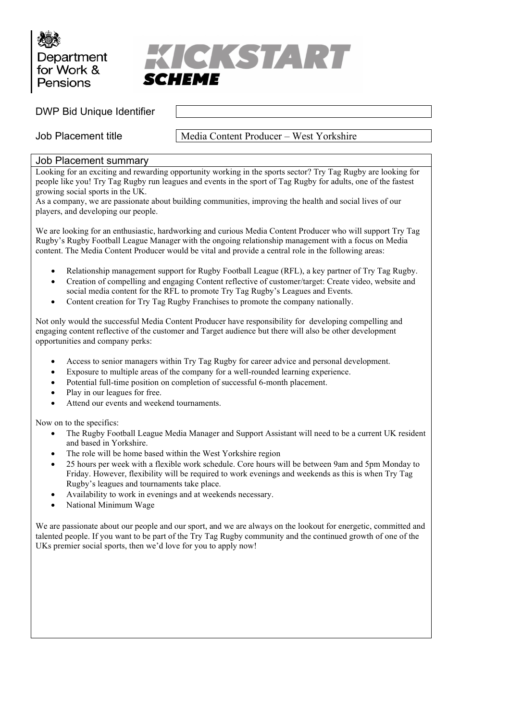



DWP Bid Unique Identifier

Job Placement title Media Content Producer – West Yorkshire

## Job Placement summary

Looking for an exciting and rewarding opportunity working in the sports sector? Try Tag Rugby are looking for people like you! Try Tag Rugby run leagues and events in the sport of Tag Rugby for adults, one of the fastest growing social sports in the UK.

As a company, we are passionate about building communities, improving the health and social lives of our players, and developing our people.

We are looking for an enthusiastic, hardworking and curious Media Content Producer who will support Try Tag Rugby's Rugby Football League Manager with the ongoing relationship management with a focus on Media content. The Media Content Producer would be vital and provide a central role in the following areas:

- Relationship management support for Rugby Football League (RFL), a key partner of Try Tag Rugby.
- Creation of compelling and engaging Content reflective of customer/target: Create video, website and social media content for the RFL to promote Try Tag Rugby's Leagues and Events.
- Content creation for Try Tag Rugby Franchises to promote the company nationally.

Not only would the successful Media Content Producer have responsibility for developing compelling and engaging content reflective of the customer and Target audience but there will also be other development opportunities and company perks:

- Access to senior managers within Try Tag Rugby for career advice and personal development.
- Exposure to multiple areas of the company for a well-rounded learning experience.
- Potential full-time position on completion of successful 6-month placement.
- Play in our leagues for free.
- Attend our events and weekend tournaments.

Now on to the specifics:

- The Rugby Football League Media Manager and Support Assistant will need to be a current UK resident and based in Yorkshire.
- The role will be home based within the West Yorkshire region
- 25 hours per week with a flexible work schedule. Core hours will be between 9am and 5pm Monday to Friday. However, flexibility will be required to work evenings and weekends as this is when Try Tag Rugby's leagues and tournaments take place.
- Availability to work in evenings and at weekends necessary.
- National Minimum Wage

We are passionate about our people and our sport, and we are always on the lookout for energetic, committed and talented people. If you want to be part of the Try Tag Rugby community and the continued growth of one of the UKs premier social sports, then we'd love for you to apply now!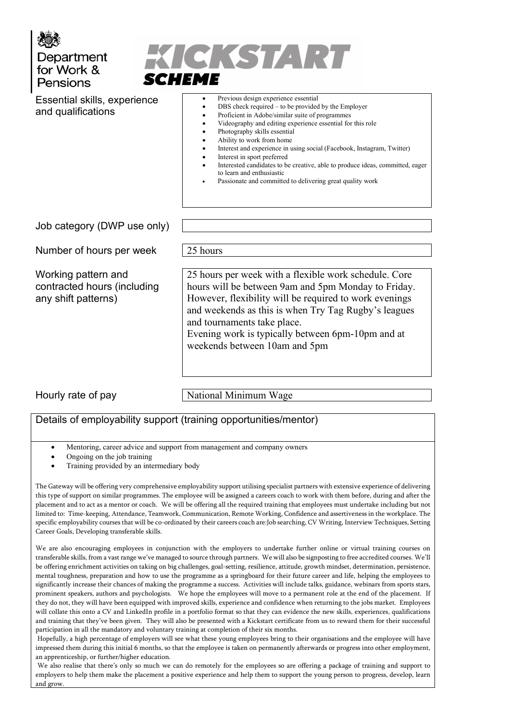



Essential skills, experience and qualifications

- Previous design experience essential
	- DBS check required to be provided by the Employer
	- Proficient in Adobe/similar suite of programmes
	- Videography and editing experience essential for this role
	- Photography skills essential
	- Ability to work from home
	- Interest and experience in using social (Facebook, Instagram, Twitter)
- Interest in sport preferred
- Interested candidates to be creative, able to produce ideas, committed, eager to learn and enthusiastic
- Passionate and committed to delivering great quality work

Job category (DWP use only)

Number of hours per week 25 hours

Working pattern and contracted hours (including any shift patterns)

25 hours per week with a flexible work schedule. Core hours will be between 9am and 5pm Monday to Friday. However, flexibility will be required to work evenings and weekends as this is when Try Tag Rugby's leagues and tournaments take place. Evening work is typically between 6pm-10pm and at weekends between 10am and 5pm

Hourly rate of pay National Minimum Wage

## Details of employability support (training opportunities/mentor)

• Mentoring, career advice and support from management and company owners

- Ongoing on the job training
- Training provided by an intermediary body

The Gateway will be offering very comprehensive employability support utilising specialist partners with extensive experience of delivering this type of support on similar programmes. The employee will be assigned a careers coach to work with them before, during and after the placement and to act as a mentor or coach. We will be offering all the required training that employees must undertake including but not limited to: Time-keeping, Attendance, Teamwork, Communication, Remote Working, Confidence and assertiveness in the workplace. The specific employability courses that will be co-ordinated by their careers coach are:Job searching, CV Writing, Interview Techniques, Setting Career Goals, Developing transferable skills.

We are also encouraging employees in conjunction with the employers to undertake further online or virtual training courses on transferable skills, from a vast range we've managed to source through partners. We will also be signposting to free accredited courses. We'll be offering enrichment activities on taking on big challenges, goal-setting, resilience, attitude, growth mindset, determination, persistence, mental toughness, preparation and how to use the programme as a springboard for their future career and life, helping the employees to significantly increase their chances of making the programme a success. Activities will include talks, guidance, webinars from sports stars, prominent speakers, authors and psychologists. We hope the employees will move to a permanent role at the end of the placement. If they do not, they will have been equipped with improved skills, experience and confidence when returning to the jobs market. Employees will collate this onto a CV and LinkedIn profile in a portfolio format so that they can evidence the new skills, experiences, qualifications and training that they've been given. They will also be presented with a Kickstart certificate from us to reward them for their successful participation in all the mandatory and voluntary training at completion of their six months.

Hopefully, a high percentage of employers will see what these young employees bring to their organisations and the employee will have impressed them during this initial 6 months, so that the employee is taken on permanently afterwards or progress into other employment, an apprenticeship, or further/higher education.

We also realise that there's only so much we can do remotely for the employees so are offering a package of training and support to employers to help them make the placement a positive experience and help them to support the young person to progress, develop, learn and grow.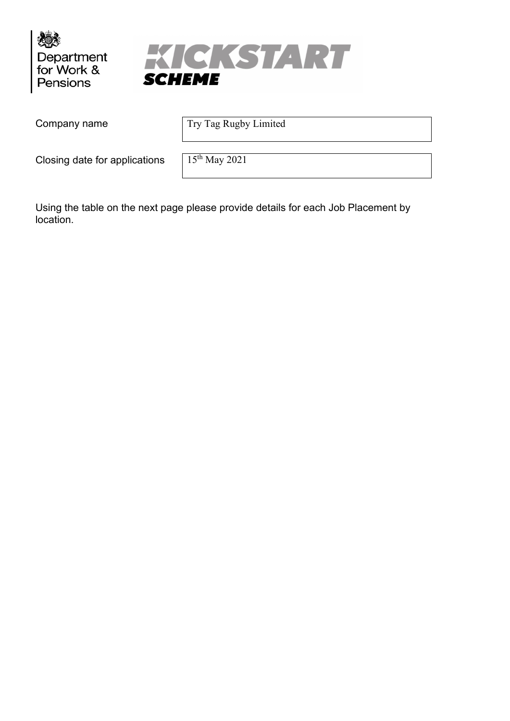



Company name Try Tag Rugby Limited

Closing date for applications  $15<sup>th</sup>$  May 2021

Using the table on the next page please provide details for each Job Placement by location.